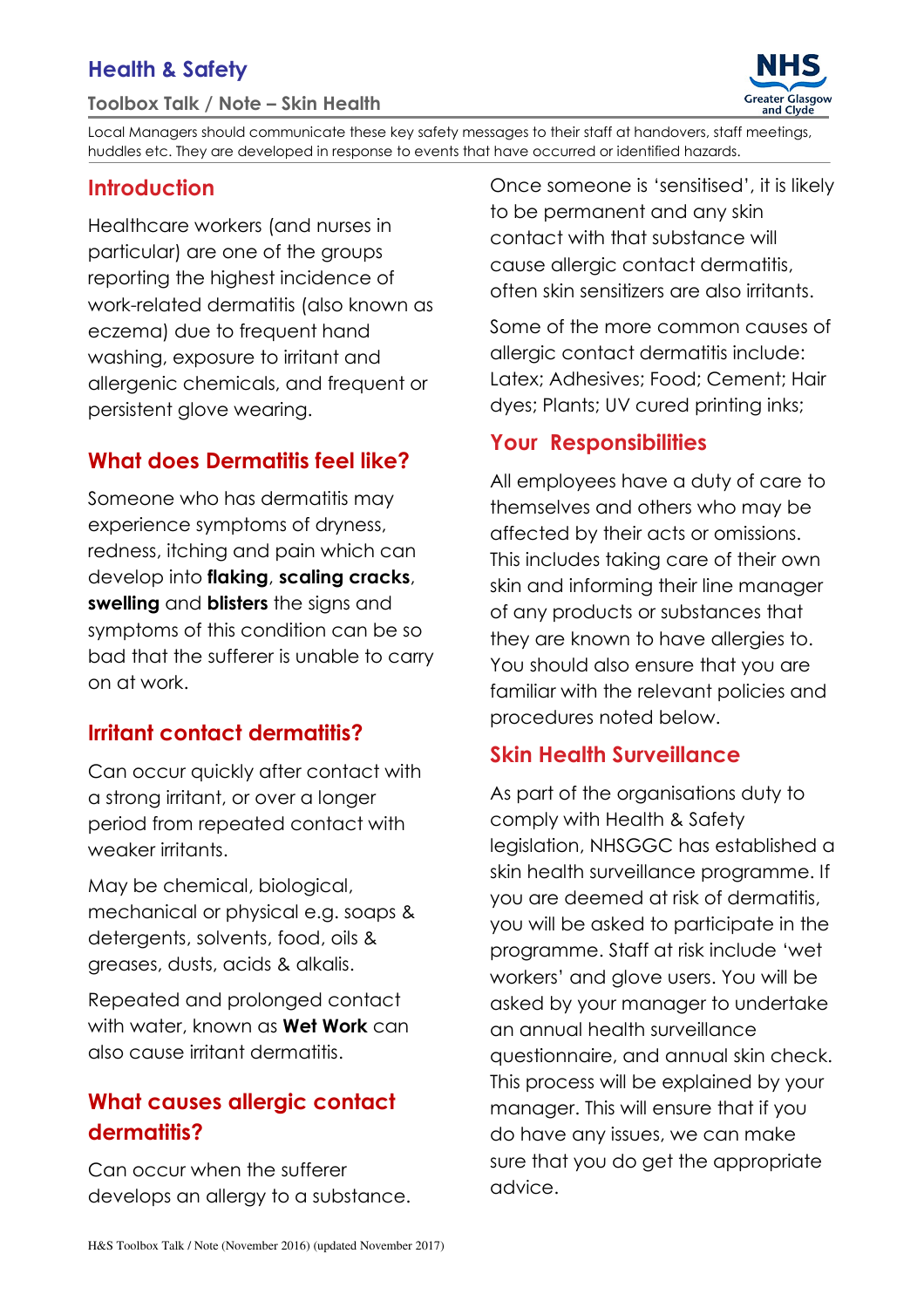# Health & Safety

#### Toolbox Talk / Note – Skin Health



Local Managers should communicate these key safety messages to their staff at handovers, staff meetings, huddles etc. They are developed in response to events that have occurred or identified hazards.

#### **Introduction**

Healthcare workers (and nurses in particular) are one of the groups reporting the highest incidence of work-related dermatitis (also known as eczema) due to frequent hand washing, exposure to irritant and allergenic chemicals, and frequent or persistent glove wearing.

### What does Dermatitis feel like?

Someone who has dermatitis may experience symptoms of dryness, redness, itching and pain which can develop into flaking, scaling cracks, swelling and blisters the signs and symptoms of this condition can be so bad that the sufferer is unable to carry on at work.

#### Irritant contact dermatitis?

Can occur quickly after contact with a strong irritant, or over a longer period from repeated contact with weaker irritants.

May be chemical, biological, mechanical or physical e.g. soaps & detergents, solvents, food, oils & greases, dusts, acids & alkalis.

Repeated and prolonged contact with water, known as **Wet Work** can also cause irritant dermatitis.

## What causes allergic contact dermatitis?

Can occur when the sufferer develops an allergy to a substance. Once someone is 'sensitised', it is likely to be permanent and any skin contact with that substance will cause allergic contact dermatitis, often skin sensitizers are also irritants.

Some of the more common causes of allergic contact dermatitis include: Latex; Adhesives; Food; Cement; Hair dyes; Plants; UV cured printing inks;

#### Your Responsibilities

All employees have a duty of care to themselves and others who may be affected by their acts or omissions. This includes taking care of their own skin and informing their line manager of any products or substances that they are known to have allergies to. You should also ensure that you are familiar with the relevant policies and procedures noted below.

#### Skin Health Surveillance

As part of the organisations duty to comply with Health & Safety legislation, NHSGGC has established a skin health surveillance programme. If you are deemed at risk of dermatitis, you will be asked to participate in the programme. Staff at risk include 'wet workers' and glove users. You will be asked by your manager to undertake an annual health surveillance questionnaire, and annual skin check. This process will be explained by your manager. This will ensure that if you do have any issues, we can make sure that you do get the appropriate advice.